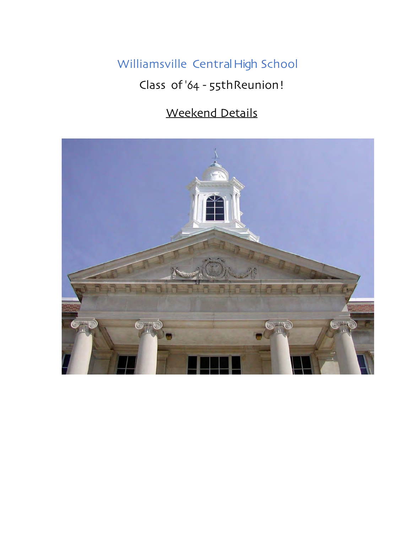# Williamsville Central High School Class of '64 - 55thReunion!

# Weekend Details

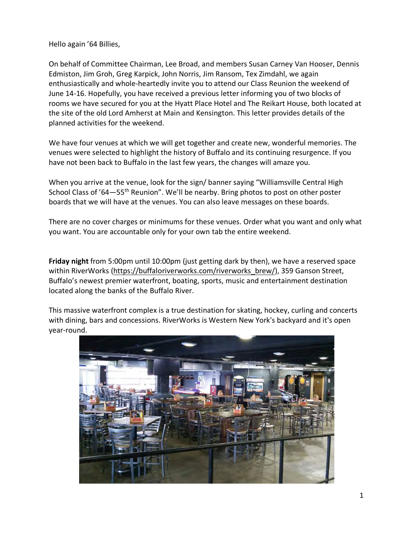Hello again '64 Billies,

On behalf of Committee Chairman, Lee Broad, and members Susan Carney Van Hooser, Dennis Edmiston, Jim Groh, Greg Karpick, John Norris, Jim Ransom, Tex Zimdahl, we again enthusiastically and whole-heartedly invite you to attend our Class Reunion the weekend of June 14-16. Hopefully, you have received a previous letter informing you of two blocks of rooms we have secured for you at the Hyatt Place Hotel and The Reikart House, both located at the site of the old Lord Amherst at Main and Kensington. This letter provides details of the planned activities for the weekend.

We have four venues at which we will get together and create new, wonderful memories. The venues were selected to highlight the history of Buffalo and its continuing resurgence. If you have not been back to Buffalo in the last few years, the changes will amaze you.

When you arrive at the venue, look for the sign/ banner saying "Williamsville Central High School Class of '64-55<sup>th</sup> Reunion". We'll be nearby. Bring photos to post on other poster boards that we will have at the venues. You can also leave messages on these boards.

There are no cover charges or minimums for these venues. Order what you want and only what you want. You are accountable only for your own tab the entire weekend.

**Friday night** from 5:00pm until 10:00pm (just getting dark by then), we have a reserved space within RiverWorks (https://buffaloriverworks.com/riverworks\_brew/), 359 Ganson Street, Buffalo's newest premier waterfront, boating, sports, music and entertainment destination located along the banks of the Buffalo River.

This massive waterfront complex is a true destination for skating, hockey, curling and concerts with dining, bars and concessions. RiverWorks is Western New York's backyard and it's open year-round.

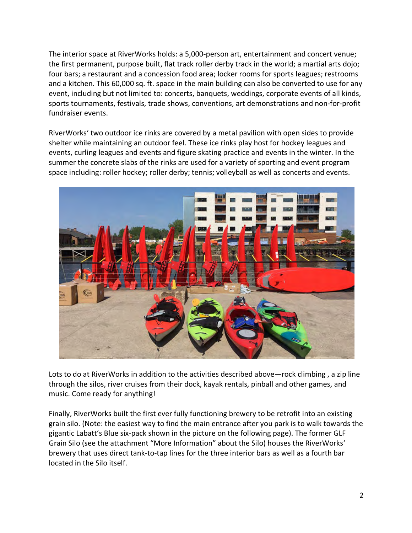The interior space at RiverWorks holds: a 5,000-person art, entertainment and concert venue; the first permanent, purpose built, flat track roller derby track in the world; a martial arts dojo; four bars; a restaurant and a concession food area; locker rooms for sports leagues; restrooms and a kitchen. This 60,000 sq. ft. space in the main building can also be converted to use for any event, including but not limited to: concerts, banquets, weddings, corporate events of all kinds, sports tournaments, festivals, trade shows, conventions, art demonstrations and non-for-profit fundraiser events.

RiverWorks' two outdoor ice rinks are covered by a metal pavilion with open sides to provide shelter while maintaining an outdoor feel. These ice rinks play host for hockey leagues and events, curling leagues and events and figure skating practice and events in the winter. In the summer the concrete slabs of the rinks are used for a variety of sporting and event program space including: roller hockey; roller derby; tennis; volleyball as well as concerts and events.



Lots to do at RiverWorks in addition to the activities described above—rock climbing , a zip line through the silos, river cruises from their dock, kayak rentals, pinball and other games, and music. Come ready for anything!

Finally, RiverWorks built the first ever fully functioning brewery to be retrofit into an existing grain silo. (Note: the easiest way to find the main entrance after you park is to walk towards the gigantic Labatt's Blue six-pack shown in the picture on the following page). The former GLF Grain Silo (see the attachment "More Information" about the Silo) houses the RiverWorks' brewery that uses direct tank-to-tap lines for the three interior bars as well as a fourth bar located in the Silo itself.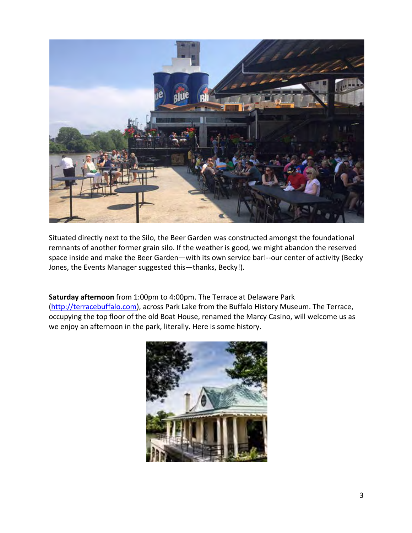

Situated directly next to the Silo, the Beer Garden was constructed amongst the foundational remnants of another former grain silo. If the weather is good, we might abandon the reserved space inside and make the Beer Garden—with its own service bar!--our center of activity (Becky Jones, the Events Manager suggested this—thanks, Becky!).

**Saturday afternoon** from 1:00pm to 4:00pm. The Terrace at Delaware Park (http://terracebuffalo.com), across Park Lake from the Buffalo History Museum. The Terrace, occupying the top floor of the old Boat House, renamed the Marcy Casino, will welcome us as we enjoy an afternoon in the park, literally. Here is some history.

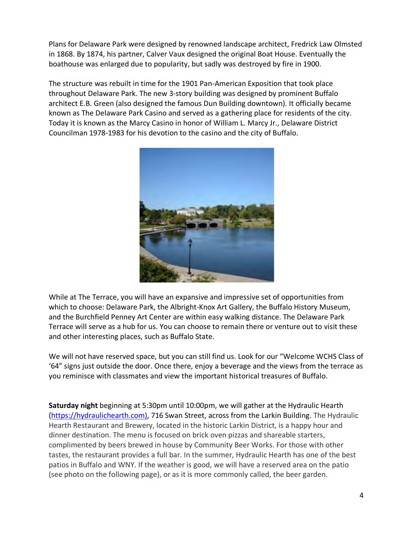Plans for Delaware Park were designed by renowned landscape architect, Fredrick Law Olmsted in 1868. By 1874, his partner, Calver Vaux designed the original Boat House. Eventually the boathouse was enlarged due to popularity, but sadly was destroyed by fire in 1900.

The structure was rebuilt in time for the 1901 Pan-American Exposition that took place throughout Delaware Park. The new 3-story building was designed by prominent Buffalo architect E.B. Green (also designed the famous Dun Building downtown). It officially became known as The Delaware Park Casino and served as a gathering place for residents of the city. Today it is known as the Marcy Casino in honor of William L. Marcy Jr., Delaware District Councilman 1978-1983 for his devotion to the casino and the city of Buffalo.



While at The Terrace, you will have an expansive and impressive set of opportunities from which to choose: Delaware Park, the Albright-Knox Art Gallery, the Buffalo History Museum, and the Burchfield Penney Art Center are within easy walking distance. The Delaware Park Terrace will serve as a hub for us. You can choose to remain there or venture out to visit these and other interesting places, such as Buffalo State.

We will not have reserved space, but you can still find us. Look for our "Welcome WCHS Class of '64" signs just outside the door. Once there, enjoy a beverage and the views from the terrace as you reminisce with classmates and view the important historical treasures of Buffalo.

**Saturday night** beginning at 5:30pm until 10:00pm, we will gather at the Hydraulic Hearth (https://hydraulichearth.com), 716 Swan Street, across from the Larkin Building. The Hydraulic Hearth Restaurant and Brewery, located in the historic Larkin District, is a happy hour and dinner destination. The menu is focused on brick oven pizzas and shareable starters, complimented by beers brewed in house by Community Beer Works. For those with other tastes, the restaurant provides a full bar. In the summer, Hydraulic Hearth has one of the best patios in Buffalo and WNY. If the weather is good, we will have a reserved area on the patio (see photo on the following page), or as it is more commonly called, the beer garden.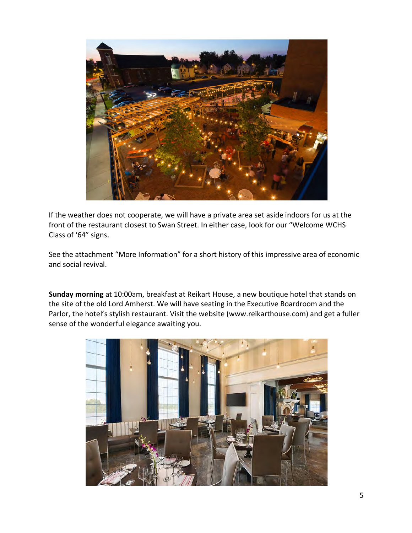

If the weather does not cooperate, we will have a private area set aside indoors for us at the front of the restaurant closest to Swan Street. In either case, look for our "Welcome WCHS Class of '64" signs.

See the attachment "More Information" for a short history of this impressive area of economic and social revival.

**Sunday morning** at 10:00am, breakfast at Reikart House, a new boutique hotel that stands on the site of the old Lord Amherst. We will have seating in the Executive Boardroom and the Parlor, the hotel's stylish restaurant. Visit the website (www.reikarthouse.com) and get a fuller sense of the wonderful elegance awaiting you.

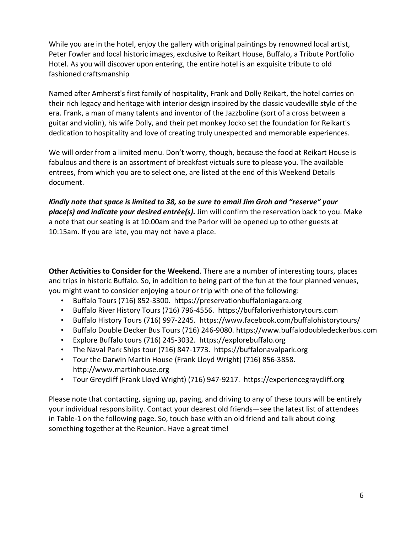While you are in the hotel, enjoy the gallery with original paintings by renowned local artist, Peter Fowler and local historic images, exclusive to Reikart House, Buffalo, a Tribute Portfolio Hotel. As you will discover upon entering, the entire hotel is an exquisite tribute to old fashioned craftsmanship

Named after Amherst's first family of hospitality, Frank and Dolly Reikart, the hotel carries on their rich legacy and heritage with interior design inspired by the classic vaudeville style of the era. Frank, a man of many talents and inventor of the Jazzboline (sort of a cross between a guitar and violin), his wife Dolly, and their pet monkey Jocko set the foundation for Reikart's dedication to hospitality and love of creating truly unexpected and memorable experiences.

We will order from a limited menu. Don't worry, though, because the food at Reikart House is fabulous and there is an assortment of breakfast victuals sure to please you. The available entrees, from which you are to select one, are listed at the end of this Weekend Details document.

*Kindly note that space is limited to 38, so be sure to email Jim Groh and "reserve" your place(s) and indicate your desired entrée(s).* Jim will confirm the reservation back to you. Make a note that our seating is at 10:00am and the Parlor will be opened up to other guests at 10:15am. If you are late, you may not have a place.

**Other Activities to Consider for the Weekend**. There are a number of interesting tours, places and trips in historic Buffalo. So, in addition to being part of the fun at the four planned venues, you might want to consider enjoying a tour or trip with one of the following:

- Buffalo Tours (716) 852-3300. https://preservationbuffaloniagara.org
- Buffalo River History Tours (716) 796-4556. https://buffaloriverhistorytours.com
- Buffalo History Tours (716) 997-2245. https://www.facebook.com/buffalohistorytours/
- Buffalo Double Decker Bus Tours (716) 246-9080. https://www.buffalodoubledeckerbus.com
- Explore Buffalo tours (716) 245-3032. https://explorebuffalo.org
- The Naval Park Ships tour (716) 847-1773. https://buffalonavalpark.org
- Tour the Darwin Martin House (Frank Lloyd Wright) (716) 856-3858. http://www.martinhouse.org
- Tour Greycliff (Frank Lloyd Wright) (716) 947-9217. https://experiencegraycliff.org

Please note that contacting, signing up, paying, and driving to any of these tours will be entirely your individual responsibility. Contact your dearest old friends—see the latest list of attendees in Table-1 on the following page. So, touch base with an old friend and talk about doing something together at the Reunion. Have a great time!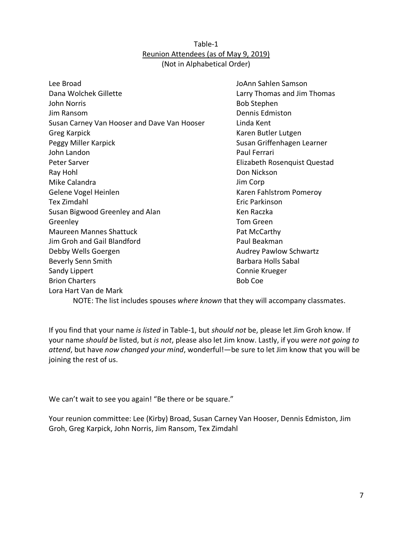#### Table-1 Reunion Attendees (as of May 9, 2019) (Not in Alphabetical Order)

Lee Broad Dana Wolchek Gillette John Norris Jim Ransom Susan Carney Van Hooser and Dave Van Hooser Greg Karpick Peggy Miller Karpick John Landon Peter Sarver Ray Hohl Mike Calandra Gelene Vogel Heinlen Tex Zimdahl Susan Bigwood Greenley and Alan Greenley Maureen Mannes Shattuck Jim Groh and Gail Blandford Debby Wells Goergen Beverly Senn Smith Sandy Lippert Brion Charters Lora Hart Van de Mark

JoAnn Sahlen Samson Larry Thomas and Jim Thomas Bob Stephen Dennis Edmiston Linda Kent Karen Butler Lutgen Susan Griffenhagen Learner Paul Ferrari Elizabeth Rosenquist Questad Don Nickson Jim Corp Karen Fahlstrom Pomeroy Eric Parkinson Ken Raczka Tom Green Pat McCarthy Paul Beakman Audrey Pawlow Schwartz Barbara Holls Sabal Connie Krueger Bob Coe

NOTE: The list includes spouses *where known* that they will accompany classmates.

If you find that your name *is listed* in Table-1, but *should not* be, please let Jim Groh know. If your name *should be* listed, but *is not*, please also let Jim know. Lastly, if you *were not going to attend*, but have *now changed your mind*, wonderful!—be sure to let Jim know that you will be joining the rest of us.

We can't wait to see you again! "Be there or be square."

Your reunion committee: Lee (Kirby) Broad, Susan Carney Van Hooser, Dennis Edmiston, Jim Groh, Greg Karpick, John Norris, Jim Ransom, Tex Zimdahl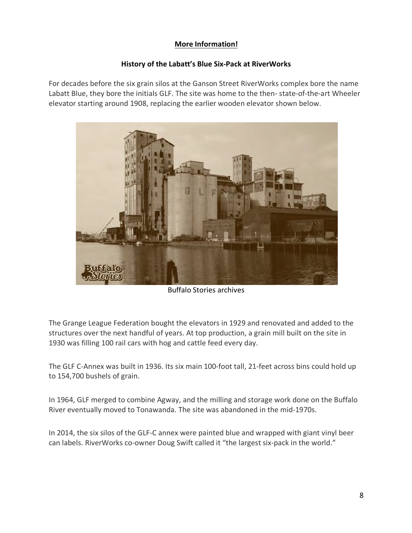## **More Information!**

#### **History of the Labatt's Blue Six-Pack at RiverWorks**

For decades before the six grain silos at the Ganson Street RiverWorks complex bore the name Labatt Blue, they bore the initials GLF. The site was home to the then- state-of-the-art Wheeler elevator starting around 1908, replacing the earlier wooden elevator shown below.



Buffalo Stories archives

The Grange League Federation bought the elevators in 1929 and renovated and added to the structures over the next handful of years. At top production, a grain mill built on the site in 1930 was filling 100 rail cars with hog and cattle feed every day.

The GLF C-Annex was built in 1936. Its six main 100-foot tall, 21-feet across bins could hold up to 154,700 bushels of grain.

In 1964, GLF merged to combine Agway, and the milling and storage work done on the Buffalo River eventually moved to Tonawanda. The site was abandoned in the mid-1970s.

In 2014, the six silos of the GLF-C annex were painted blue and wrapped with giant vinyl beer can labels. RiverWorks co-owner Doug Swift called it "the largest six-pack in the world."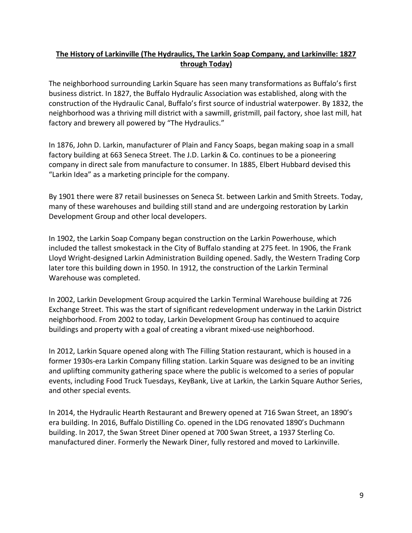### **The History of Larkinville (The Hydraulics, The Larkin Soap Company, and Larkinville: 1827 through Today)**

The neighborhood surrounding Larkin Square has seen many transformations as Buffalo's first business district. In 1827, the Buffalo Hydraulic Association was established, along with the construction of the Hydraulic Canal, Buffalo's first source of industrial waterpower. By 1832, the neighborhood was a thriving mill district with a sawmill, gristmill, pail factory, shoe last mill, hat factory and brewery all powered by "The Hydraulics."

In 1876, John D. Larkin, manufacturer of Plain and Fancy Soaps, began making soap in a small factory building at 663 Seneca Street. The J.D. Larkin & Co. continues to be a pioneering company in direct sale from manufacture to consumer. In 1885, Elbert Hubbard devised this "Larkin Idea" as a marketing principle for the company.

By 1901 there were 87 retail businesses on Seneca St. between Larkin and Smith Streets. Today, many of these warehouses and building still stand and are undergoing restoration by Larkin Development Group and other local developers.

In 1902, the Larkin Soap Company began construction on the Larkin Powerhouse, which included the tallest smokestack in the City of Buffalo standing at 275 feet. In 1906, the Frank Lloyd Wright-designed Larkin Administration Building opened. Sadly, the Western Trading Corp later tore this building down in 1950. In 1912, the construction of the Larkin Terminal Warehouse was completed.

In 2002, Larkin Development Group acquired the Larkin Terminal Warehouse building at 726 Exchange Street. This was the start of significant redevelopment underway in the Larkin District neighborhood. From 2002 to today, Larkin Development Group has continued to acquire buildings and property with a goal of creating a vibrant mixed-use neighborhood.

In 2012, Larkin Square opened along with The Filling Station restaurant, which is housed in a former 1930s-era Larkin Company filling station. Larkin Square was designed to be an inviting and uplifting community gathering space where the public is welcomed to a series of popular events, including Food Truck Tuesdays, KeyBank, Live at Larkin, the Larkin Square Author Series, and other special events.

In 2014, the Hydraulic Hearth Restaurant and Brewery opened at 716 Swan Street, an 1890's era building. In 2016, Buffalo Distilling Co. opened in the LDG renovated 1890's Duchmann building. In 2017, the Swan Street Diner opened at 700 Swan Street, a 1937 Sterling Co. manufactured diner. Formerly the Newark Diner, fully restored and moved to Larkinville.